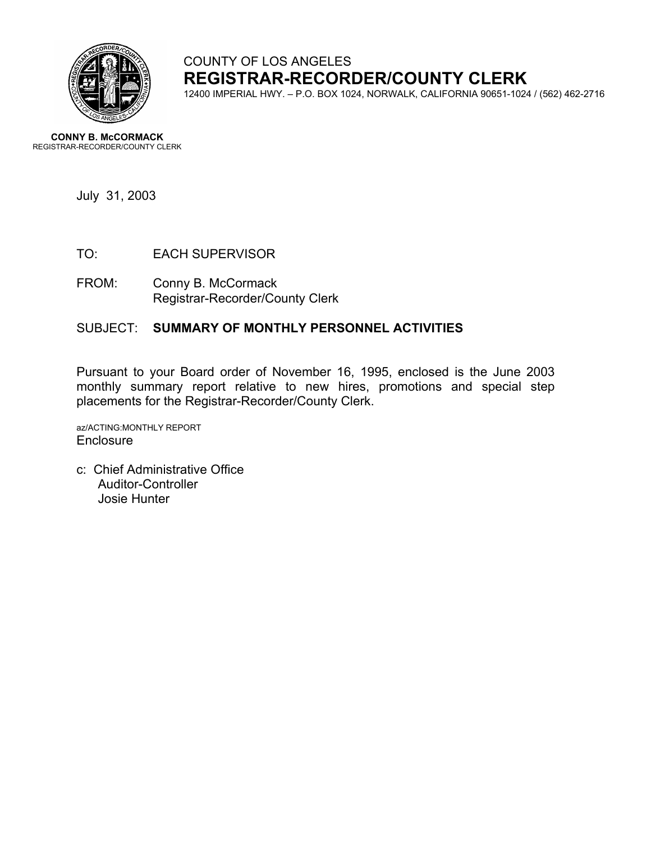

# COUNTY OF LOS ANGELES **REGISTRAR-RECORDER/COUNTY CLERK**

12400 IMPERIAL HWY. – P.O. BOX 1024, NORWALK, CALIFORNIA 90651-1024 / (562) 462-2716

**CONNY B. McCORMACK** REGISTRAR-RECORDER/COUNTY CLERK

July 31, 2003

- TO: EACH SUPERVISOR
- FROM: Conny B. McCormack Registrar-Recorder/County Clerk

#### SUBJECT: **SUMMARY OF MONTHLY PERSONNEL ACTIVITIES**

Pursuant to your Board order of November 16, 1995, enclosed is the June 2003 monthly summary report relative to new hires, promotions and special step placements for the Registrar-Recorder/County Clerk.

az/ACTING:MONTHLY REPORT **Enclosure** 

c: Chief Administrative Office Auditor-Controller Josie Hunter